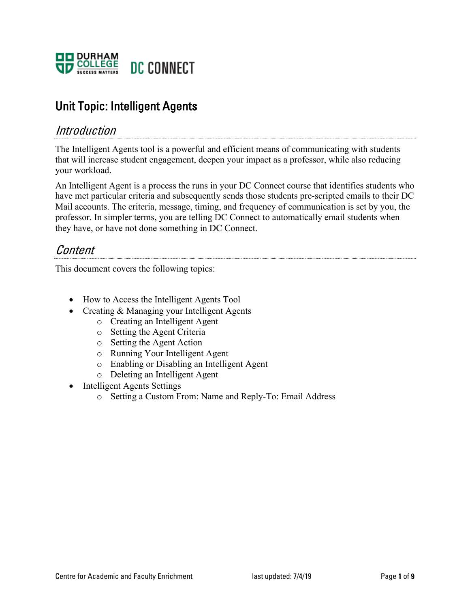

# Unit Topic: Intelligent Agents

# Introduction

The Intelligent Agents tool is a powerful and efficient means of communicating with students that will increase student engagement, deepen your impact as a professor, while also reducing your workload.

An Intelligent Agent is a process the runs in your DC Connect course that identifies students who have met particular criteria and subsequently sends those students pre-scripted emails to their DC Mail accounts. The criteria, message, timing, and frequency of communication is set by you, the professor. In simpler terms, you are telling DC Connect to automatically email students when they have, or have not done something in DC Connect.

# Content

This document covers the following topics:

- How to Access the Intelligent Agents Tool
- Creating & Managing your Intelligent Agents
	- o Creating an Intelligent Agent
	- o Setting the Agent Criteria
	- o Setting the Agent Action
	- o Running Your Intelligent Agent
	- o Enabling or Disabling an Intelligent Agent
	- o Deleting an Intelligent Agent
- Intelligent Agents Settings
	- o Setting a Custom From: Name and Reply-To: Email Address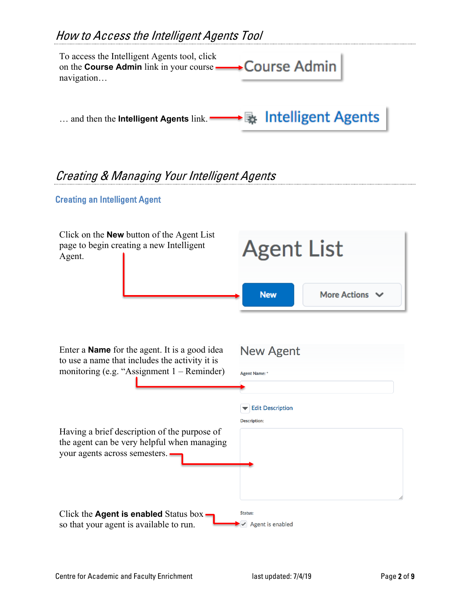# How to Access the Intelligent Agents Tool



# Creating & Managing Your Intelligent Agents

## Creating an Intelligent Agent

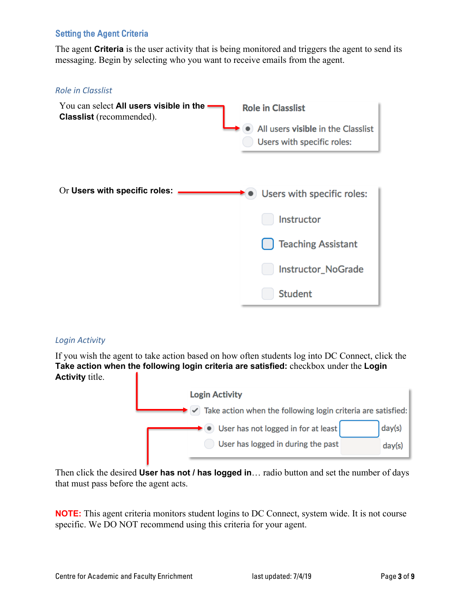# Setting the Agent Criteria

The agent **Criteria** is the user activity that is being monitored and triggers the agent to send its messaging. Begin by selecting who you want to receive emails from the agent.

#### *Role in Classlist*



## *Login Activity*

If you wish the agent to take action based on how often students log into DC Connect, click the **Take action when the following login criteria are satisfied:** checkbox under the **Login Activity** title.



Then click the desired **User has not / has logged in**… radio button and set the number of days that must pass before the agent acts.

**NOTE:** This agent criteria monitors student logins to DC Connect, system wide. It is not course specific. We DO NOT recommend using this criteria for your agent.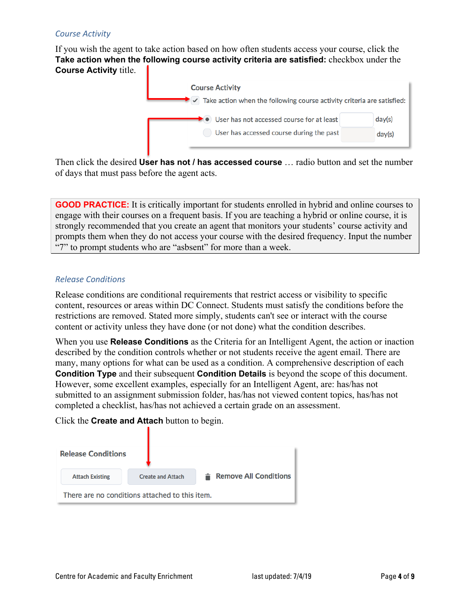#### *Course Activity*

If you wish the agent to take action based on how often students access your course, click the **Take action when the following course activity criteria are satisfied:** checkbox under the **Course Activity** title.



Then click the desired **User has not / has accessed course** … radio button and set the number of days that must pass before the agent acts.

**GOOD PRACTICE:** It is critically important for students enrolled in hybrid and online courses to engage with their courses on a frequent basis. If you are teaching a hybrid or online course, it is strongly recommended that you create an agent that monitors your students' course activity and prompts them when they do not access your course with the desired frequency. Input the number "7" to prompt students who are "asbsent" for more than a week.

#### *Release Conditions*

Release conditions are conditional requirements that restrict access or visibility to specific content, resources or areas within DC Connect. Students must satisfy the conditions before the restrictions are removed. Stated more simply, students can't see or interact with the course content or activity unless they have done (or not done) what the condition describes.

When you use **Release Conditions** as the Criteria for an Intelligent Agent, the action or inaction described by the condition controls whether or not students receive the agent email. There are many, many options for what can be used as a condition. A comprehensive description of each **Condition Type** and their subsequent **Condition Details** is beyond the scope of this document. However, some excellent examples, especially for an Intelligent Agent, are: has/has not submitted to an assignment submission folder, has/has not viewed content topics, has/has not completed a checklist, has/has not achieved a certain grade on an assessment.

Click the **Create and Attach** button to begin.

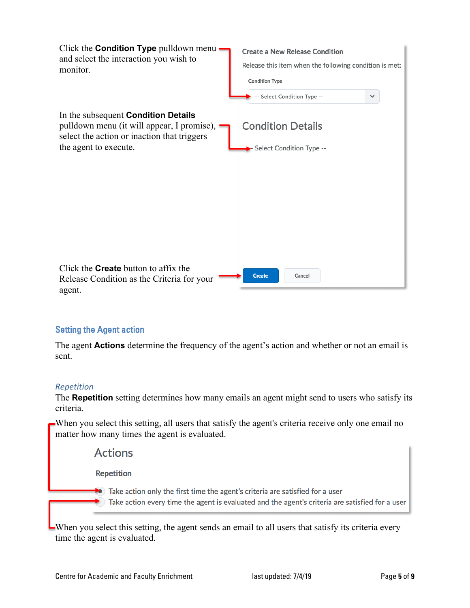

## Setting the Agent action

The agent **Actions** determine the frequency of the agent's action and whether or not an email is sent.

## *Repetition*

The **Repetition** setting determines how many emails an agent might send to users who satisfy its criteria.

When you select this setting, all users that satisfy the agent's criteria receive only one email no matter how many times the agent is evaluated.

**Actions Repetition**  $\blacktriangleright$  Take action only the first time the agent's criteria are satisfied for a user ) Take action every time the agent is evaluated and the agent's criteria are satisfied for a user

When you select this setting, the agent sends an email to all users that satisfy its criteria every time the agent is evaluated.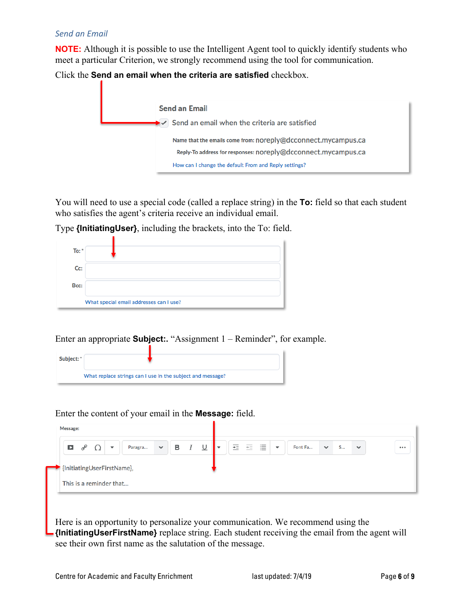#### *Send an Email*

**NOTE:** Although it is possible to use the Intelligent Agent tool to quickly identify students who meet a particular Criterion, we strongly recommend using the tool for communication.

Click the **Send an email when the criteria are satisfied** checkbox.



You will need to use a special code (called a replace string) in the **To:** field so that each student who satisfies the agent's criteria receive an individual email.

Type **{InitiatingUser}**, including the brackets, into the To: field.

| To: $*$ |                                         |
|---------|-----------------------------------------|
| Cc:     |                                         |
| Bcc:    |                                         |
|         | What special email addresses can I use? |

#### Enter an appropriate **Subject:.** "Assignment 1 – Reminder", for example.



Enter the content of your email in the **Message:** field.



Here is an opportunity to personalize your communication. We recommend using the **{InitiatingUserFirstName}** replace string. Each student receiving the email from the agent will see their own first name as the salutation of the message.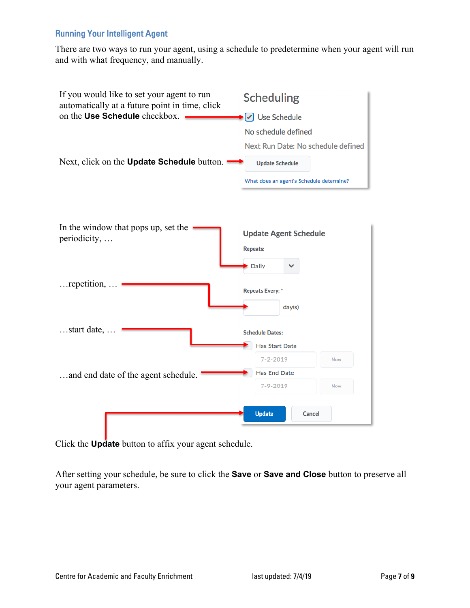# Running Your Intelligent Agent

There are two ways to run your agent, using a schedule to predetermine when your agent will run and with what frequency, and manually.



Click the **Update** button to affix your agent schedule.

After setting your schedule, be sure to click the **Save** or **Save and Close** button to preserve all your agent parameters.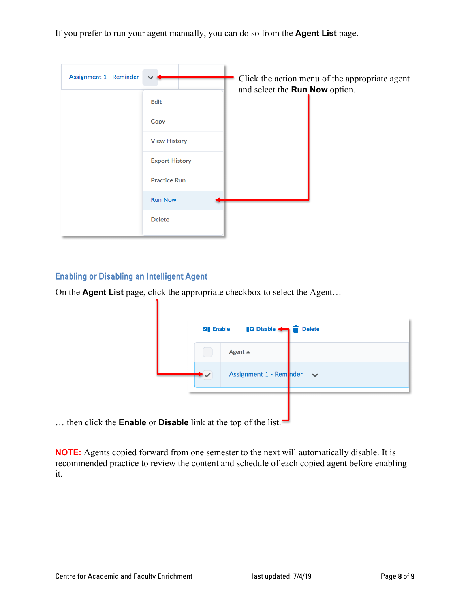If you prefer to run your agent manually, you can do so from the **Agent List** page.

| Assignment 1 - Reminder |                       | and select the Run Now option. | Click the action menu of the appropriate agent |
|-------------------------|-----------------------|--------------------------------|------------------------------------------------|
|                         | Edit                  |                                |                                                |
|                         | Copy                  |                                |                                                |
|                         | <b>View History</b>   |                                |                                                |
|                         | <b>Export History</b> |                                |                                                |
|                         | <b>Practice Run</b>   |                                |                                                |
|                         | <b>Run Now</b>        |                                |                                                |
|                         | <b>Delete</b>         |                                |                                                |

## Enabling or Disabling an Intelligent Agent

1

On the **Agent List** page, click the appropriate checkbox to select the Agent…

| <b>B</b> Disable <<br><b>Delete</b><br><b>Z</b> Enable |                         |              |  |  |
|--------------------------------------------------------|-------------------------|--------------|--|--|
|                                                        | Agent $\triangle$       |              |  |  |
|                                                        | Assignment 1 - Reminder | $\checkmark$ |  |  |
|                                                        |                         |              |  |  |

… then click the **Enable** or **Disable** link at the top of the list.

**NOTE:** Agents copied forward from one semester to the next will automatically disable. It is recommended practice to review the content and schedule of each copied agent before enabling it.